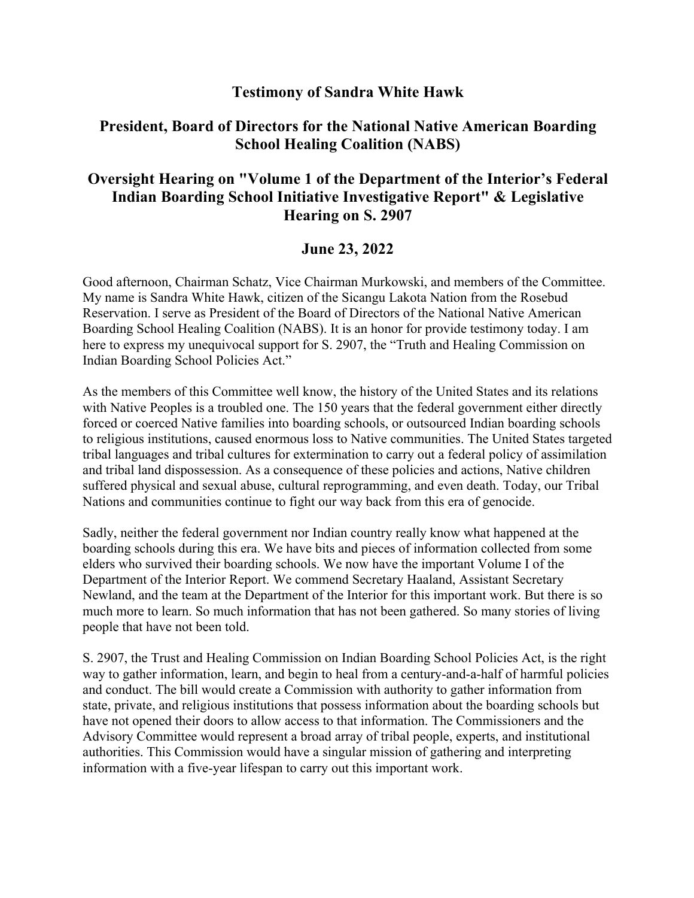## **Testimony of Sandra White Hawk**

## **President, Board of Directors for the National Native American Boarding School Healing Coalition (NABS)**

## **Oversight Hearing on "Volume 1 of the Department of the Interior's Federal Indian Boarding School Initiative Investigative Report" & Legislative Hearing on S. 2907**

## **June 23, 2022**

Good afternoon, Chairman Schatz, Vice Chairman Murkowski, and members of the Committee. My name is Sandra White Hawk, citizen of the Sicangu Lakota Nation from the Rosebud Reservation. I serve as President of the Board of Directors of the National Native American Boarding School Healing Coalition (NABS). It is an honor for provide testimony today. I am here to express my unequivocal support for S. 2907, the "Truth and Healing Commission on Indian Boarding School Policies Act."

As the members of this Committee well know, the history of the United States and its relations with Native Peoples is a troubled one. The 150 years that the federal government either directly forced or coerced Native families into boarding schools, or outsourced Indian boarding schools to religious institutions, caused enormous loss to Native communities. The United States targeted tribal languages and tribal cultures for extermination to carry out a federal policy of assimilation and tribal land dispossession. As a consequence of these policies and actions, Native children suffered physical and sexual abuse, cultural reprogramming, and even death. Today, our Tribal Nations and communities continue to fight our way back from this era of genocide.

Sadly, neither the federal government nor Indian country really know what happened at the boarding schools during this era. We have bits and pieces of information collected from some elders who survived their boarding schools. We now have the important Volume I of the Department of the Interior Report. We commend Secretary Haaland, Assistant Secretary Newland, and the team at the Department of the Interior for this important work. But there is so much more to learn. So much information that has not been gathered. So many stories of living people that have not been told.

S. 2907, the Trust and Healing Commission on Indian Boarding School Policies Act, is the right way to gather information, learn, and begin to heal from a century-and-a-half of harmful policies and conduct. The bill would create a Commission with authority to gather information from state, private, and religious institutions that possess information about the boarding schools but have not opened their doors to allow access to that information. The Commissioners and the Advisory Committee would represent a broad array of tribal people, experts, and institutional authorities. This Commission would have a singular mission of gathering and interpreting information with a five-year lifespan to carry out this important work.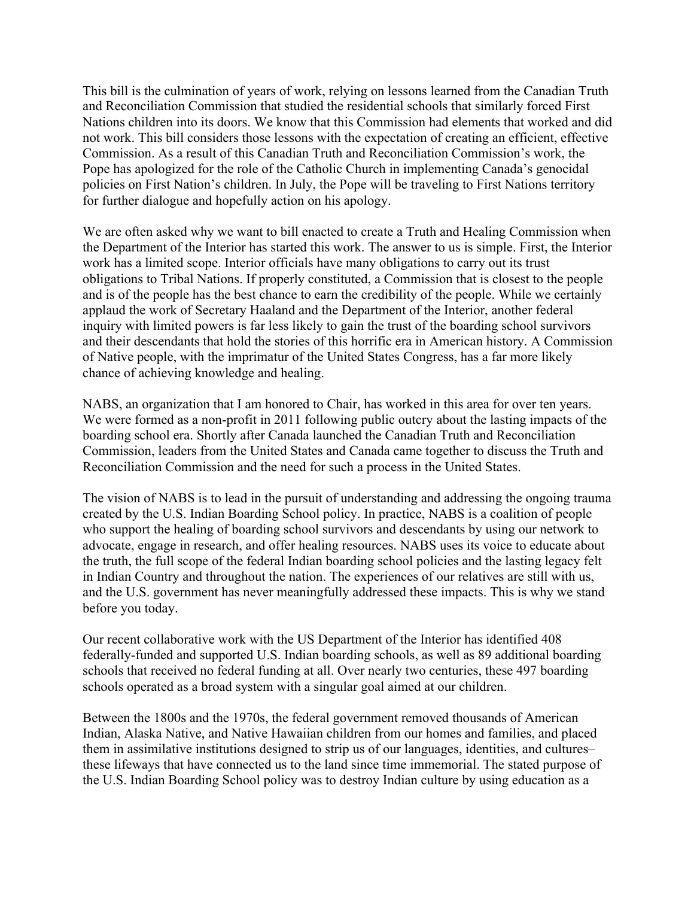This bill is the culmination of years of work, relying on lessons learned from the Canadian Truth and Reconciliation Commission that studied the residential schools that similarly forced First Nations children into its doors. We know that this Commission had elements that worked and did not work. This bill considers those lessons with the expectation of creating an efficient, effective Commission. As a result of this Canadian Truth and Reconciliation Commission's work, the Pope has apologized for the role of the Catholic Church in implementing Canada's genocidal policies on First Nation's children. In July, the Pope will be traveling to First Nations territory for further dialogue and hopefully action on his apology.

We are often asked why we want to bill enacted to create a Truth and Healing Commission when the Department of the Interior has started this work. The answer to us is simple. First, the Interior work has a limited scope. Interior officials have many obligations to carry out its trust obligations to Tribal Nations. If properly constituted, a Commission that is closest to the people and is of the people has the best chance to earn the credibility of the people. While we certainly applaud the work of Secretary Haaland and the Department of the Interior, another federal inquiry with limited powers is far less likely to gain the trust of the boarding school survivors and their descendants that hold the stories of this horrific era in American history. A Commission of Native people, with the imprimatur of the United States Congress, has a far more likely chance of achieving knowledge and healing.

NABS, an organization that I am honored to Chair, has worked in this area for over ten years. We were formed as a non-profit in 2011 following public outcry about the lasting impacts of the boarding school era. Shortly after Canada launched the Canadian Truth and Reconciliation Commission, leaders from the United States and Canada came together to discuss the Truth and Reconciliation Commission and the need for such a process in the United States.

The vision of NABS is to lead in the pursuit of understanding and addressing the ongoing trauma created by the U.S. Indian Boarding School policy. In practice, NABS is a coalition of people who support the healing of boarding school survivors and descendants by using our network to advocate, engage in research, and offer healing resources. NABS uses its voice to educate about the truth, the full scope of the federal Indian boarding school policies and the lasting legacy felt in Indian Country and throughout the nation. The experiences of our relatives are still with us, and the U.S. government has never meaningfully addressed these impacts. This is why we stand before you today.

Our recent collaborative work with the US Department of the Interior has identified 408 federally-funded and supported U.S. Indian boarding schools, as well as 89 additional boarding schools that received no federal funding at all. Over nearly two centuries, these 497 boarding schools operated as a broad system with a singular goal aimed at our children.

Between the 1800s and the 1970s, the federal government removed thousands of American Indian, Alaska Native, and Native Hawaiian children from our homes and families, and placed them in assimilative institutions designed to strip us of our languages, identities, and cultures– these lifeways that have connected us to the land since time immemorial. The stated purpose of the U.S. Indian Boarding School policy was to destroy Indian culture by using education as a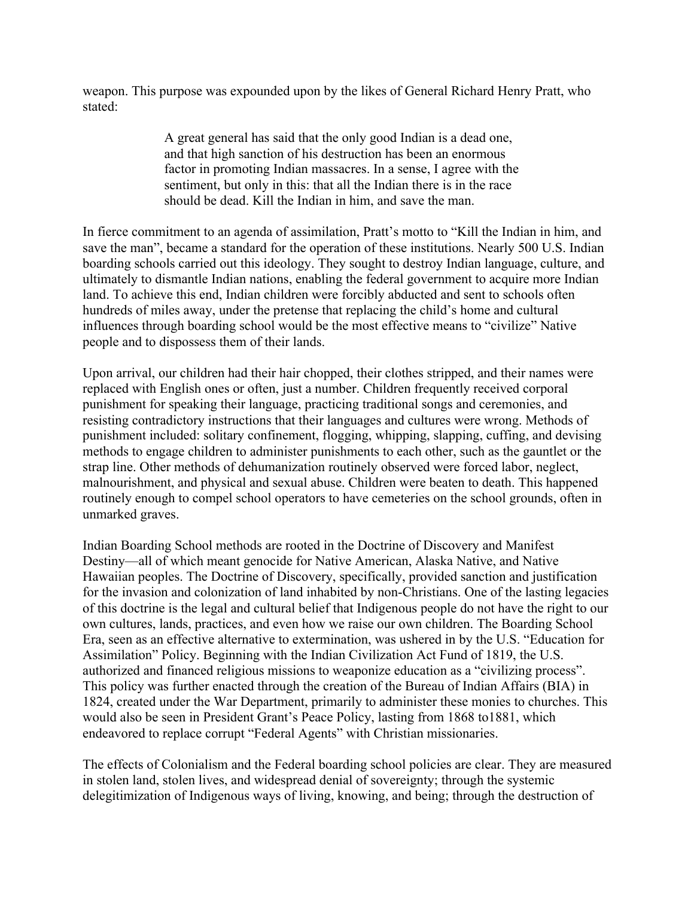weapon. This purpose was expounded upon by the likes of General Richard Henry Pratt, who stated:

> A great general has said that the only good Indian is a dead one, and that high sanction of his destruction has been an enormous factor in promoting Indian massacres. In a sense, I agree with the sentiment, but only in this: that all the Indian there is in the race should be dead. Kill the Indian in him, and save the man.

In fierce commitment to an agenda of assimilation, Pratt's motto to "Kill the Indian in him, and save the man", became a standard for the operation of these institutions. Nearly 500 U.S. Indian boarding schools carried out this ideology. They sought to destroy Indian language, culture, and ultimately to dismantle Indian nations, enabling the federal government to acquire more Indian land. To achieve this end, Indian children were forcibly abducted and sent to schools often hundreds of miles away, under the pretense that replacing the child's home and cultural influences through boarding school would be the most effective means to "civilize" Native people and to dispossess them of their lands.

Upon arrival, our children had their hair chopped, their clothes stripped, and their names were replaced with English ones or often, just a number. Children frequently received corporal punishment for speaking their language, practicing traditional songs and ceremonies, and resisting contradictory instructions that their languages and cultures were wrong. Methods of punishment included: solitary confinement, flogging, whipping, slapping, cuffing, and devising methods to engage children to administer punishments to each other, such as the gauntlet or the strap line. Other methods of dehumanization routinely observed were forced labor, neglect, malnourishment, and physical and sexual abuse. Children were beaten to death. This happened routinely enough to compel school operators to have cemeteries on the school grounds, often in unmarked graves.

Indian Boarding School methods are rooted in the Doctrine of Discovery and Manifest Destiny—all of which meant genocide for Native American, Alaska Native, and Native Hawaiian peoples. The Doctrine of Discovery, specifically, provided sanction and justification for the invasion and colonization of land inhabited by non-Christians. One of the lasting legacies of this doctrine is the legal and cultural belief that Indigenous people do not have the right to our own cultures, lands, practices, and even how we raise our own children. The Boarding School Era, seen as an effective alternative to extermination, was ushered in by the U.S. "Education for Assimilation" Policy. Beginning with the Indian Civilization Act Fund of 1819, the U.S. authorized and financed religious missions to weaponize education as a "civilizing process". This policy was further enacted through the creation of the Bureau of Indian Affairs (BIA) in 1824, created under the War Department, primarily to administer these monies to churches. This would also be seen in President Grant's Peace Policy, lasting from 1868 to1881, which endeavored to replace corrupt "Federal Agents" with Christian missionaries.

The effects of Colonialism and the Federal boarding school policies are clear. They are measured in stolen land, stolen lives, and widespread denial of sovereignty; through the systemic delegitimization of Indigenous ways of living, knowing, and being; through the destruction of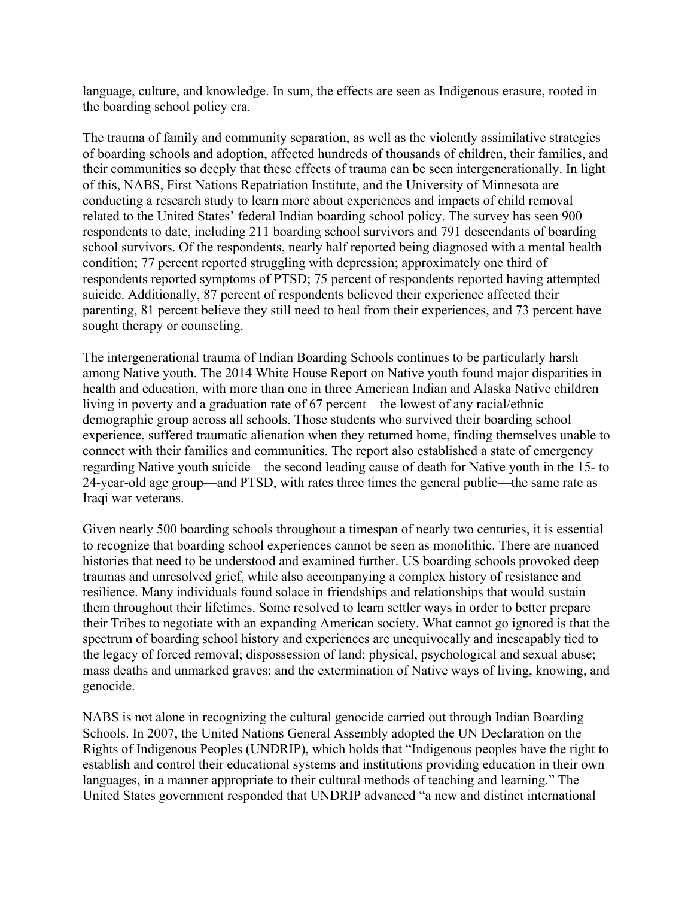language, culture, and knowledge. In sum, the effects are seen as Indigenous erasure, rooted in the boarding school policy era.

The trauma of family and community separation, as well as the violently assimilative strategies of boarding schools and adoption, affected hundreds of thousands of children, their families, and their communities so deeply that these effects of trauma can be seen intergenerationally. In light of this, NABS, First Nations Repatriation Institute, and the University of Minnesota are conducting a research study to learn more about experiences and impacts of child removal related to the United States' federal Indian boarding school policy. The survey has seen 900 respondents to date, including 211 boarding school survivors and 791 descendants of boarding school survivors. Of the respondents, nearly half reported being diagnosed with a mental health condition; 77 percent reported struggling with depression; approximately one third of respondents reported symptoms of PTSD; 75 percent of respondents reported having attempted suicide. Additionally, 87 percent of respondents believed their experience affected their parenting, 81 percent believe they still need to heal from their experiences, and 73 percent have sought therapy or counseling.

The intergenerational trauma of Indian Boarding Schools continues to be particularly harsh among Native youth. The 2014 White House Report on Native youth found major disparities in health and education, with more than one in three American Indian and Alaska Native children living in poverty and a graduation rate of 67 percent—the lowest of any racial/ethnic demographic group across all schools. Those students who survived their boarding school experience, suffered traumatic alienation when they returned home, finding themselves unable to connect with their families and communities. The report also established a state of emergency regarding Native youth suicide—the second leading cause of death for Native youth in the 15- to 24-year-old age group—and PTSD, with rates three times the general public—the same rate as Iraqi war veterans.

Given nearly 500 boarding schools throughout a timespan of nearly two centuries, it is essential to recognize that boarding school experiences cannot be seen as monolithic. There are nuanced histories that need to be understood and examined further. US boarding schools provoked deep traumas and unresolved grief, while also accompanying a complex history of resistance and resilience. Many individuals found solace in friendships and relationships that would sustain them throughout their lifetimes. Some resolved to learn settler ways in order to better prepare their Tribes to negotiate with an expanding American society. What cannot go ignored is that the spectrum of boarding school history and experiences are unequivocally and inescapably tied to the legacy of forced removal; dispossession of land; physical, psychological and sexual abuse; mass deaths and unmarked graves; and the extermination of Native ways of living, knowing, and genocide.

NABS is not alone in recognizing the cultural genocide carried out through Indian Boarding Schools. In 2007, the United Nations General Assembly adopted the UN Declaration on the Rights of Indigenous Peoples (UNDRIP), which holds that "Indigenous peoples have the right to establish and control their educational systems and institutions providing education in their own languages, in a manner appropriate to their cultural methods of teaching and learning." The United States government responded that UNDRIP advanced "a new and distinct international